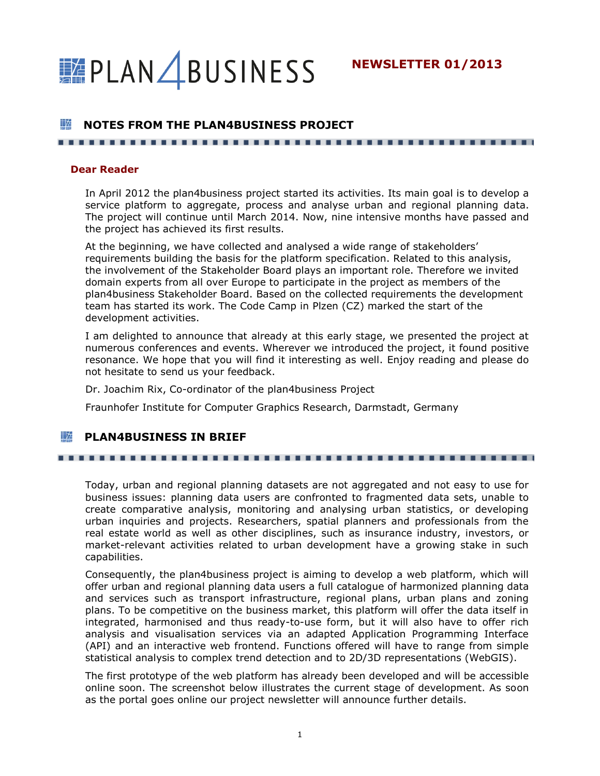**NEWSLETTER 01/2013**

# **PLAN BUSINESS**

# **NOTES FROM THE PLAN4BUSINESS PROJECT**

#### **Dear Reader**

In April 2012 the plan4business project started its activities. Its main goal is to develop a service platform to aggregate, process and analyse urban and regional planning data. The project will continue until March 2014. Now, nine intensive months have passed and the project has achieved its first results.

At the beginning, we have collected and analysed a wide range of stakeholders' requirements building the basis for the platform specification. Related to this analysis, the involvement of the Stakeholder Board plays an important role. Therefore we invited domain experts from all over Europe to participate in the project as members of the plan4business Stakeholder Board. Based on the collected requirements the development team has started its work. The Code Camp in Plzen (CZ) marked the start of the development activities.

I am delighted to announce that already at this early stage, we presented the project at numerous conferences and events. Wherever we introduced the project, it found positive resonance. We hope that you will find it interesting as well. Enjoy reading and please do not hesitate to send us your feedback.

Dr. Joachim Rix, Co-ordinator of the plan4business Project

Fraunhofer Institute for Computer Graphics Research, Darmstadt, Germany

#### ₩ **PLAN4BUSINESS IN BRIEF**

#### 

Today, urban and regional planning datasets are not aggregated and not easy to use for business issues: planning data users are confronted to fragmented data sets, unable to create comparative analysis, monitoring and analysing urban statistics, or developing urban inquiries and projects. Researchers, spatial planners and professionals from the real estate world as well as other disciplines, such as insurance industry, investors, or market-relevant activities related to urban development have a growing stake in such capabilities.

Consequently, the plan4business project is aiming to develop a web platform, which will offer urban and regional planning data users a full catalogue of harmonized planning data and services such as transport infrastructure, regional plans, urban plans and zoning plans. To be competitive on the business market, this platform will offer the data itself in integrated, harmonised and thus ready-to-use form, but it will also have to offer rich analysis and visualisation services via an adapted Application Programming Interface (API) and an interactive web frontend. Functions offered will have to range from simple statistical analysis to complex trend detection and to 2D/3D representations (WebGIS).

The first prototype of the web platform has already been developed and will be accessible online soon. The screenshot below illustrates the current stage of development. As soon as the portal goes online our project newsletter will announce further details.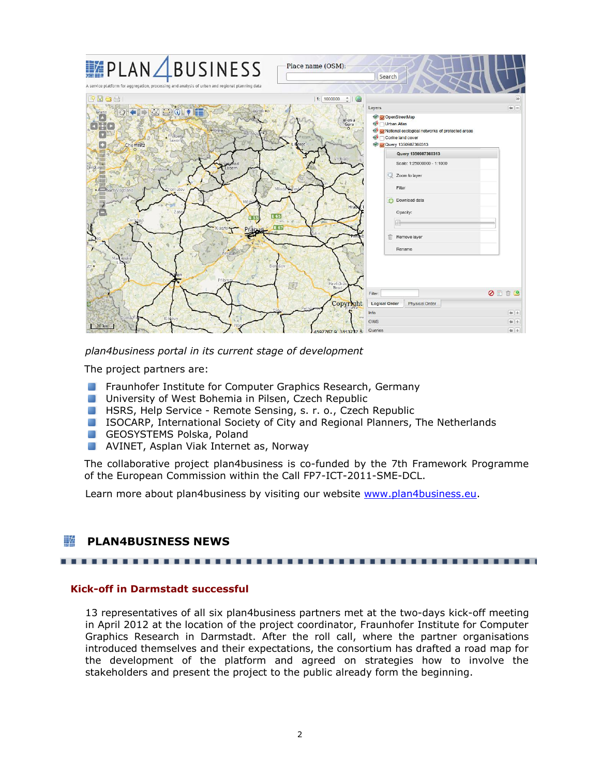

*plan4business portal in its current stage of development*

The project partners are:

- **Fraunhofer Institute for Computer Graphics Research, Germany**
- **University of West Bohemia in Pilsen, Czech Republic**
- **HSRS, Help Service Remote Sensing, s. r. o., Czech Republic**
- ISOCARP, International Society of City and Regional Planners, The Netherlands
- GEOSYSTEMS Polska, Poland
- **AVINET, Asplan Viak Internet as, Norway**

The collaborative project plan4business is co-funded by the 7th Framework Programme of the European Commission within the Call FP7-ICT-2011-SME-DCL.

Learn more about plan4business by visiting our website [www.plan4business.eu.](http://www.plan4business.eu/)

#### ∐≄ **PLAN4BUSINESS NEWS**

#### . . . . . . . . . . ------------

## **Kick-off in Darmstadt successful**

13 representatives of all six plan4business partners met at the two-days kick-off meeting in April 2012 at the location of the project coordinator, Fraunhofer Institute for Computer Graphics Research in Darmstadt. After the roll call, where the partner organisations introduced themselves and their expectations, the consortium has drafted a road map for the development of the platform and agreed on strategies how to involve the stakeholders and present the project to the public already form the beginning.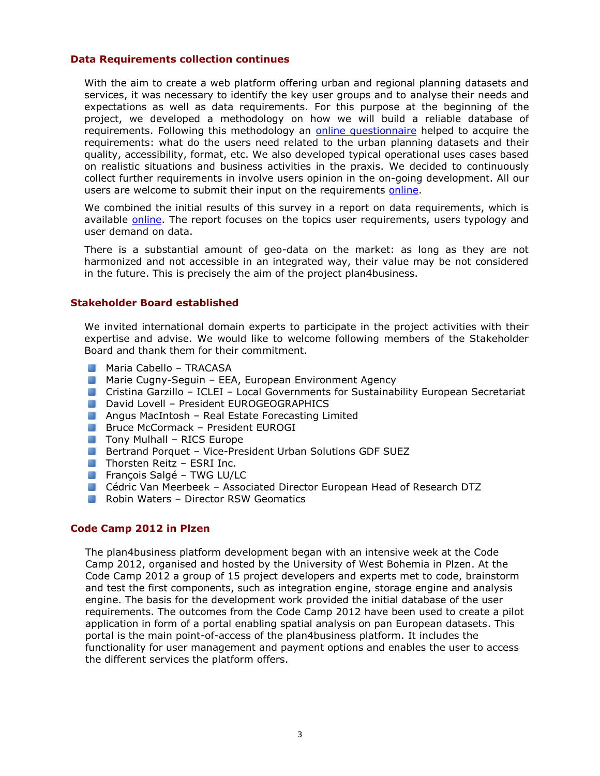## **Data Requirements collection continues**

With the aim to create a web platform offering urban and regional planning datasets and services, it was necessary to identify the key user groups and to analyse their needs and expectations as well as data requirements. For this purpose at the beginning of the project, we developed a methodology on how we will build a reliable database of requirements. Following this methodology an [online questionnaire](mailto:http://plan4business.eu/q) helped to acquire the requirements: what do the users need related to the urban planning datasets and their quality, accessibility, format, etc. We also developed typical operational uses cases based on realistic situations and business activities in the praxis. We decided to continuously collect further requirements in involve users opinion in the on-going development. All our users are welcome to submit their input on the requirements [online.](mailto:http://plan4business.eu/q)

We combined the initial results of this survey in a report on data requirements, which is available [online.](http://plan4business.eu/publications/deliverables.html) The report focuses on the topics user requirements, users typology and user demand on data.

There is a substantial amount of geo-data on the market: as long as they are not harmonized and not accessible in an integrated way, their value may be not considered in the future. This is precisely the aim of the project plan4business.

## **Stakeholder Board established**

We invited international domain experts to participate in the project activities with their expertise and advise. We would like to welcome following members of the Stakeholder Board and thank them for their commitment.

- **Maria Cabello TRACASA**
- **Marie Cugny-Seguin EEA, European Environment Agency**
- Cristina Garzillo ICLEI Local Governments for Sustainability European Secretariat
- David Lovell President EUROGEOGRAPHICS
- **Angus MacIntosh Real Estate Forecasting Limited**
- **Bruce McCormack President EUROGI**
- **Theory Mulhall RICS Europe**
- Bertrand Porquet Vice-President Urban Solutions GDF SUEZ
- $\blacksquare$  Thorsten Reitz ESRI Inc.
- **François Salgé TWG LU/LC**
- Cédric Van Meerbeek Associated Director European Head of Research DTZ
- Robin Waters Director RSW Geomatics

#### **Code Camp 2012 in Plzen**

The plan4business platform development began with an intensive week at the Code Camp 2012, organised and hosted by the University of West Bohemia in Plzen. At the Code Camp 2012 a group of 15 project developers and experts met to code, brainstorm and test the first components, such as integration engine, storage engine and analysis engine. The basis for the development work provided the initial database of the user requirements. The outcomes from the Code Camp 2012 have been used to create a pilot application in form of a portal enabling spatial analysis on pan European datasets. This portal is the main point-of-access of the plan4business platform. It includes the functionality for user management and payment options and enables the user to access the different services the platform offers.